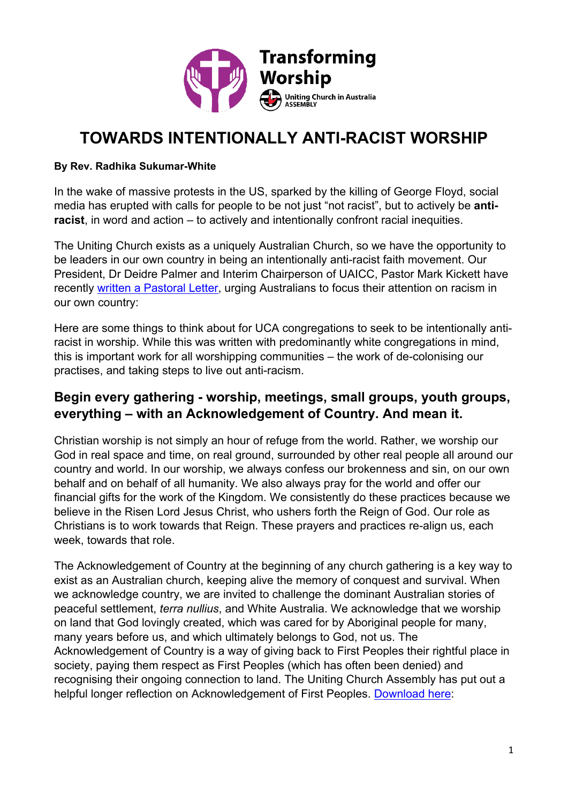

# **TOWARDS INTENTIONALLY ANTI-RACIST WORSHIP**

#### **By Rev. Radhika Sukumar-White**

In the wake of massive protests in the US, sparked by the killing of George Floyd, social media has erupted with calls for people to be not just "not racist", but to actively be **antiracist**, in word and action – to actively and intentionally confront racial inequities.

The Uniting Church exists as a uniquely Australian Church, so we have the opportunity to be leaders in our own country in being an intentionally anti-racist faith movement. Our President, Dr Deidre Palmer and Interim Chairperson of UAICC, Pastor Mark Kickett have recently [written a Pastoral Letter,](https://assembly.uca.org.au/news/item/3196-pastoral-statement-racism-and-police-brutality) urging Australians to focus their attention on racism in our own country:

Here are some things to think about for UCA congregations to seek to be intentionally antiracist in worship. While this was written with predominantly white congregations in mind, this is important work for all worshipping communities – the work of de-colonising our practises, and taking steps to live out anti-racism.

## **Begin every gathering - worship, meetings, small groups, youth groups, everything – with an Acknowledgement of Country. And mean it.**

Christian worship is not simply an hour of refuge from the world. Rather, we worship our God in real space and time, on real ground, surrounded by other real people all around our country and world. In our worship, we always confess our brokenness and sin, on our own behalf and on behalf of all humanity. We also always pray for the world and offer our financial gifts for the work of the Kingdom. We consistently do these practices because we believe in the Risen Lord Jesus Christ, who ushers forth the Reign of God. Our role as Christians is to work towards that Reign. These prayers and practices re-align us, each week, towards that role.

The Acknowledgement of Country at the beginning of any church gathering is a key way to exist as an Australian church, keeping alive the memory of conquest and survival. When we acknowledge country, we are invited to challenge the dominant Australian stories of peaceful settlement, *terra nullius*, and White Australia. We acknowledge that we worship on land that God lovingly created, which was cared for by Aboriginal people for many, many years before us, and which ultimately belongs to God, not us. The Acknowledgement of Country is a way of giving back to First Peoples their rightful place in society, paying them respect as First Peoples (which has often been denied) and recognising their ongoing connection to land. The Uniting Church Assembly has put out a helpful longer reflection on Acknowledgement of First Peoples. [Download here:](https://uniting.church/acknowledgement-of-country-in-the-uca/)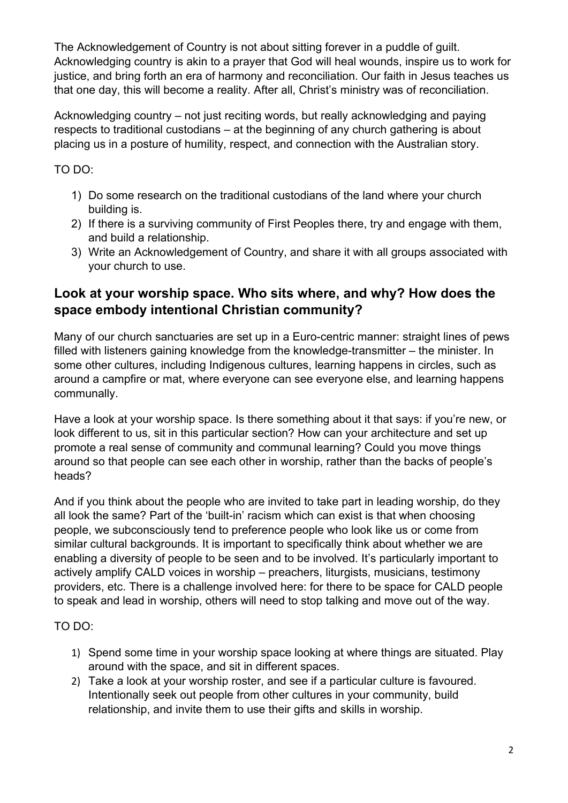The Acknowledgement of Country is not about sitting forever in a puddle of guilt. Acknowledging country is akin to a prayer that God will heal wounds, inspire us to work for justice, and bring forth an era of harmony and reconciliation. Our faith in Jesus teaches us that one day, this will become a reality. After all, Christ's ministry was of reconciliation.

Acknowledging country – not just reciting words, but really acknowledging and paying respects to traditional custodians – at the beginning of any church gathering is about placing us in a posture of humility, respect, and connection with the Australian story.

TO DO:

- 1) Do some research on the traditional custodians of the land where your church building is.
- 2) If there is a surviving community of First Peoples there, try and engage with them, and build a relationship.
- 3) Write an Acknowledgement of Country, and share it with all groups associated with your church to use.

## **Look at your worship space. Who sits where, and why? How does the space embody intentional Christian community?**

Many of our church sanctuaries are set up in a Euro-centric manner: straight lines of pews filled with listeners gaining knowledge from the knowledge-transmitter – the minister. In some other cultures, including Indigenous cultures, learning happens in circles, such as around a campfire or mat, where everyone can see everyone else, and learning happens communally.

Have a look at your worship space. Is there something about it that says: if you're new, or look different to us, sit in this particular section? How can your architecture and set up promote a real sense of community and communal learning? Could you move things around so that people can see each other in worship, rather than the backs of people's heads?

And if you think about the people who are invited to take part in leading worship, do they all look the same? Part of the 'built-in' racism which can exist is that when choosing people, we subconsciously tend to preference people who look like us or come from similar cultural backgrounds. It is important to specifically think about whether we are enabling a diversity of people to be seen and to be involved. It's particularly important to actively amplify CALD voices in worship – preachers, liturgists, musicians, testimony providers, etc. There is a challenge involved here: for there to be space for CALD people to speak and lead in worship, others will need to stop talking and move out of the way.

TO DO:

- 1) Spend some time in your worship space looking at where things are situated. Play around with the space, and sit in different spaces.
- 2) Take a look at your worship roster, and see if a particular culture is favoured. Intentionally seek out people from other cultures in your community, build relationship, and invite them to use their gifts and skills in worship.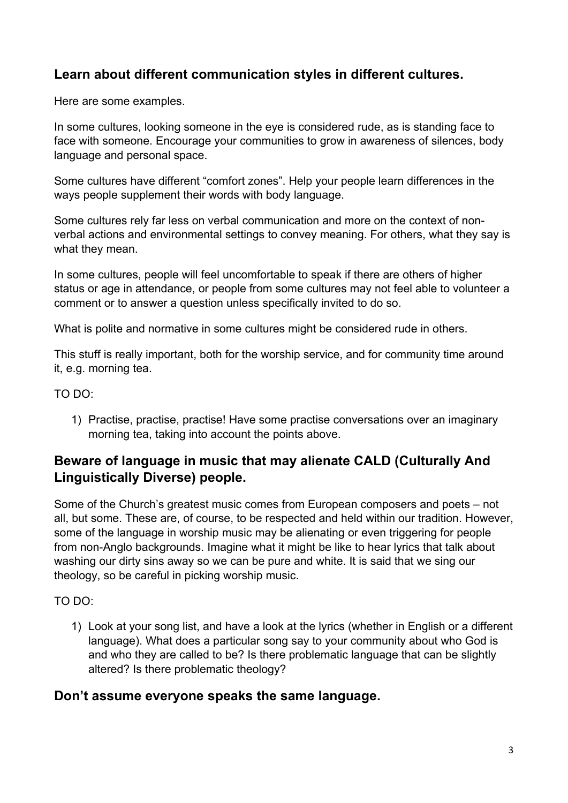## **Learn about different communication styles in different cultures.**

Here are some examples.

In some cultures, looking someone in the eye is considered rude, as is standing face to face with someone. Encourage your communities to grow in awareness of silences, body language and personal space.

Some cultures have different "comfort zones". Help your people learn differences in the ways people supplement their words with body language.

Some cultures rely far less on verbal communication and more on the context of nonverbal actions and environmental settings to convey meaning. For others, what they say is what they mean.

In some cultures, people will feel uncomfortable to speak if there are others of higher status or age in attendance, or people from some cultures may not feel able to volunteer a comment or to answer a question unless specifically invited to do so.

What is polite and normative in some cultures might be considered rude in others.

This stuff is really important, both for the worship service, and for community time around it, e.g. morning tea.

TO DO:

1) Practise, practise, practise! Have some practise conversations over an imaginary morning tea, taking into account the points above.

## **Beware of language in music that may alienate CALD (Culturally And Linguistically Diverse) people.**

Some of the Church's greatest music comes from European composers and poets – not all, but some. These are, of course, to be respected and held within our tradition. However, some of the language in worship music may be alienating or even triggering for people from non-Anglo backgrounds. Imagine what it might be like to hear lyrics that talk about washing our dirty sins away so we can be pure and white. It is said that we sing our theology, so be careful in picking worship music.

TO DO:

1) Look at your song list, and have a look at the lyrics (whether in English or a different language). What does a particular song say to your community about who God is and who they are called to be? Is there problematic language that can be slightly altered? Is there problematic theology?

#### **Don't assume everyone speaks the same language.**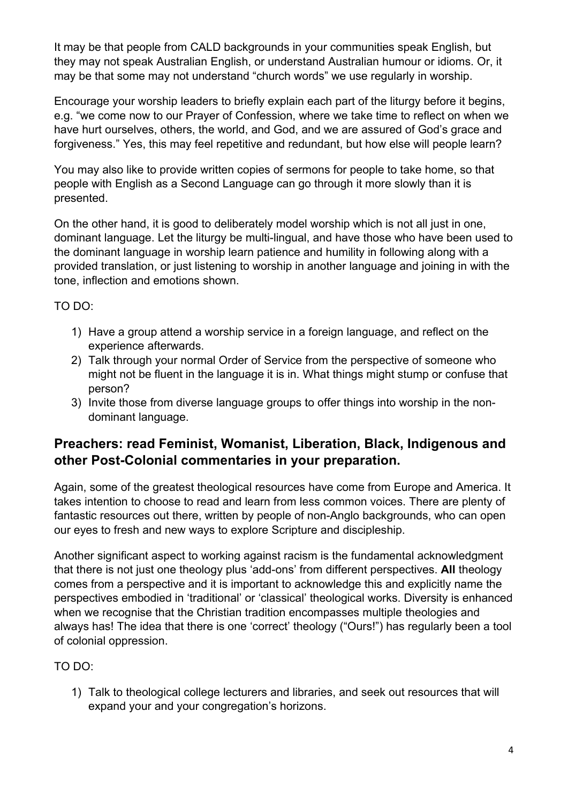It may be that people from CALD backgrounds in your communities speak English, but they may not speak Australian English, or understand Australian humour or idioms. Or, it may be that some may not understand "church words" we use regularly in worship.

Encourage your worship leaders to briefly explain each part of the liturgy before it begins, e.g. "we come now to our Prayer of Confession, where we take time to reflect on when we have hurt ourselves, others, the world, and God, and we are assured of God's grace and forgiveness." Yes, this may feel repetitive and redundant, but how else will people learn?

You may also like to provide written copies of sermons for people to take home, so that people with English as a Second Language can go through it more slowly than it is presented.

On the other hand, it is good to deliberately model worship which is not all just in one, dominant language. Let the liturgy be multi-lingual, and have those who have been used to the dominant language in worship learn patience and humility in following along with a provided translation, or just listening to worship in another language and joining in with the tone, inflection and emotions shown.

#### TO DO:

- 1) Have a group attend a worship service in a foreign language, and reflect on the experience afterwards.
- 2) Talk through your normal Order of Service from the perspective of someone who might not be fluent in the language it is in. What things might stump or confuse that person?
- 3) Invite those from diverse language groups to offer things into worship in the nondominant language.

## **Preachers: read Feminist, Womanist, Liberation, Black, Indigenous and other Post-Colonial commentaries in your preparation.**

Again, some of the greatest theological resources have come from Europe and America. It takes intention to choose to read and learn from less common voices. There are plenty of fantastic resources out there, written by people of non-Anglo backgrounds, who can open our eyes to fresh and new ways to explore Scripture and discipleship.

Another significant aspect to working against racism is the fundamental acknowledgment that there is not just one theology plus 'add-ons' from different perspectives. **All** theology comes from a perspective and it is important to acknowledge this and explicitly name the perspectives embodied in 'traditional' or 'classical' theological works. Diversity is enhanced when we recognise that the Christian tradition encompasses multiple theologies and always has! The idea that there is one 'correct' theology ("Ours!") has regularly been a tool of colonial oppression.

## TO DO:

1) Talk to theological college lecturers and libraries, and seek out resources that will expand your and your congregation's horizons.